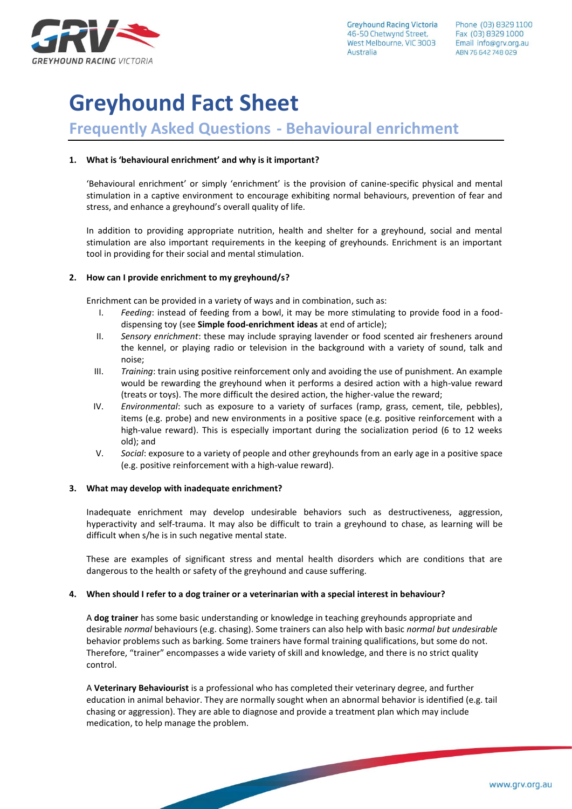

**Greyhound Racing Victoria** 46-50 Chetwynd Street. West Melbourne, VIC 3003 Australia

# **Greyhound Fact Sheet**

## **Frequently Asked Questions - Behavioural enrichment**

## **1. What is 'behavioural enrichment' and why is it important?**

'Behavioural enrichment' or simply 'enrichment' is the provision of canine-specific physical and mental stimulation in a captive environment to encourage exhibiting normal behaviours, prevention of fear and stress, and enhance a greyhound's overall quality of life.

In addition to providing appropriate nutrition, health and shelter for a greyhound, social and mental stimulation are also important requirements in the keeping of greyhounds. Enrichment is an important tool in providing for their social and mental stimulation.

## **2. How can I provide enrichment to my greyhound/s?**

Enrichment can be provided in a variety of ways and in combination, such as:

- I. *Feeding*: instead of feeding from a bowl, it may be more stimulating to provide food in a fooddispensing toy (see **Simple food-enrichment ideas** at end of article);
- II. *Sensory enrichment*: these may include spraying lavender or food scented air fresheners around the kennel, or playing radio or television in the background with a variety of sound, talk and noise;
- III. *Training*: train using positive reinforcement only and avoiding the use of punishment. An example would be rewarding the greyhound when it performs a desired action with a high-value reward (treats or toys). The more difficult the desired action, the higher-value the reward;
- IV. *Environmental*: such as exposure to a variety of surfaces (ramp, grass, cement, tile, pebbles), items (e.g. probe) and new environments in a positive space (e.g. positive reinforcement with a high-value reward). This is especially important during the socialization period (6 to 12 weeks old); and
- V. *Social*: exposure to a variety of people and other greyhounds from an early age in a positive space (e.g. positive reinforcement with a high-value reward).

### **3. What may develop with inadequate enrichment?**

Inadequate enrichment may develop undesirable behaviors such as destructiveness, aggression, hyperactivity and self-trauma. It may also be difficult to train a greyhound to chase, as learning will be difficult when s/he is in such negative mental state.

These are examples of significant stress and mental health disorders which are conditions that are dangerous to the health or safety of the greyhound and cause suffering.

## **4. When should I refer to a dog trainer or a veterinarian with a special interest in behaviour?**

A **dog trainer** has some basic understanding or knowledge in teaching greyhounds appropriate and desirable *normal* behaviours (e.g. chasing). Some trainers can also help with basic *normal but undesirable*  behavior problems such as barking. Some trainers have formal training qualifications, but some do not. Therefore, "trainer" encompasses a wide variety of skill and knowledge, and there is no strict quality control.

A **Veterinary Behaviourist** is a professional who has completed their veterinary degree, and further education in animal behavior. They are normally sought when an abnormal behavior is identified (e.g. tail chasing or aggression). They are able to diagnose and provide a treatment plan which may include medication, to help manage the problem.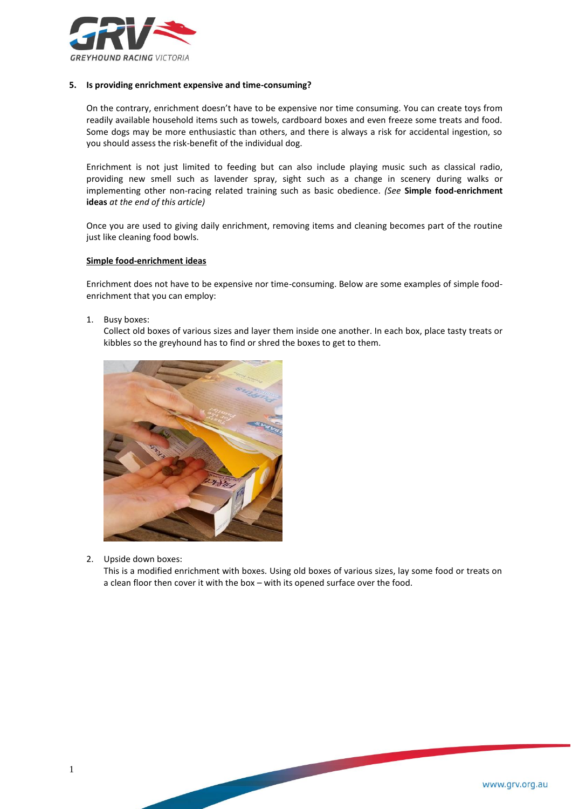

#### **5. Is providing enrichment expensive and time-consuming?**

On the contrary, enrichment doesn't have to be expensive nor time consuming. You can create toys from readily available household items such as towels, cardboard boxes and even freeze some treats and food. Some dogs may be more enthusiastic than others, and there is always a risk for accidental ingestion, so you should assess the risk-benefit of the individual dog.

Enrichment is not just limited to feeding but can also include playing music such as classical radio, providing new smell such as lavender spray, sight such as a change in scenery during walks or implementing other non-racing related training such as basic obedience. *(See* **Simple food-enrichment ideas** *at the end of this article)*

Once you are used to giving daily enrichment, removing items and cleaning becomes part of the routine just like cleaning food bowls.

#### **Simple food-enrichment ideas**

Enrichment does not have to be expensive nor time-consuming. Below are some examples of simple foodenrichment that you can employ:

1. Busy boxes:

Collect old boxes of various sizes and layer them inside one another. In each box, place tasty treats or kibbles so the greyhound has to find or shred the boxes to get to them.



2. Upside down boxes:

This is a modified enrichment with boxes. Using old boxes of various sizes, lay some food or treats on a clean floor then cover it with the box – with its opened surface over the food.